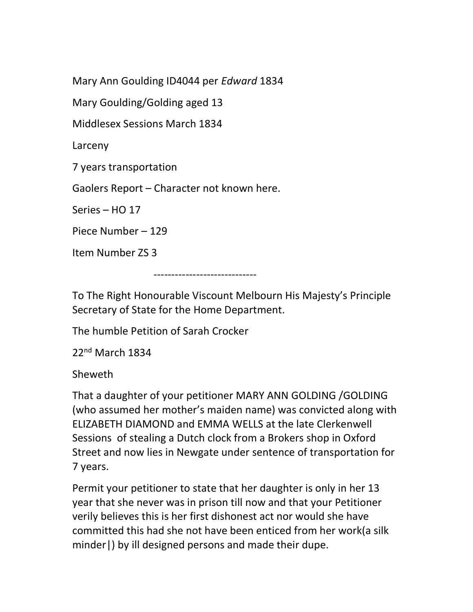Mary Ann Goulding ID4044 per Edward 1834

Mary Goulding/Golding aged 13

Middlesex Sessions March 1834

Larceny

7 years transportation

Gaolers Report – Character not known here.

Series – HO 17

Piece Number – 129

Item Number ZS 3

-----------------------------

To The Right Honourable Viscount Melbourn His Majesty's Principle Secretary of State for the Home Department.

The humble Petition of Sarah Crocker

22nd March 1834

Sheweth

That a daughter of your petitioner MARY ANN GOLDING /GOLDING (who assumed her mother's maiden name) was convicted along with ELIZABETH DIAMOND and EMMA WELLS at the late Clerkenwell Sessions of stealing a Dutch clock from a Brokers shop in Oxford Street and now lies in Newgate under sentence of transportation for 7 years.

Permit your petitioner to state that her daughter is only in her 13 year that she never was in prison till now and that your Petitioner verily believes this is her first dishonest act nor would she have committed this had she not have been enticed from her work(a silk minder|) by ill designed persons and made their dupe.